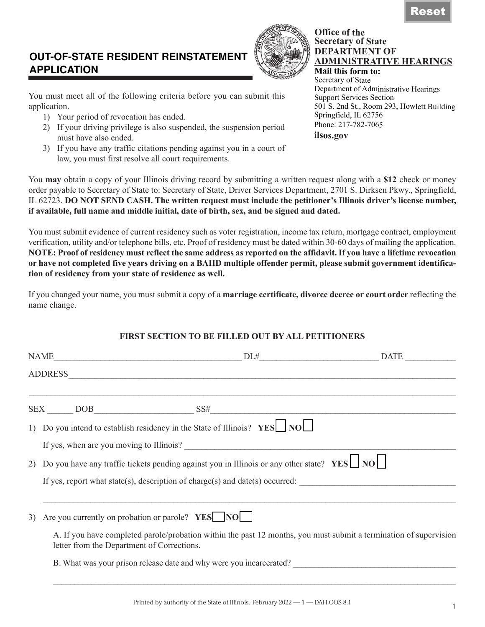# **DEPARTMENT OF**

**ADMINISTRATIVE HEARINGS Mail this form to:** Secretary of State Department of Administrative Hearings Support Services Section 501 S. 2nd St., Room 293, Howlett Building Springfield, IL 62756 Phone: 217-782-7065 **ilsos.gov**

**Office of the Secretary of State**

# **OUT-OF-STATE RESIDENT REINSTATEMENT APPLICATION**

You must meet all of the following criteria before you can submit this application.

- 1) Your period of revocation has ended.
- 2) If your driving privilege is also suspended, the suspension period must have also ended.
- 3) If you have any traffic citations pending against you in a court of law, you must first resolve all court requirements.

You **may** obtain a copy of your Illinois driving record by submitting a written request along with a **\$12** check or money order payable to Secretary of State to: Secretary of State, Driver Services Department, 2701 S. Dirksen Pkwy., Springfield, IL 62723. **DO NOT SEND CASH. The written request must include the petitioner's Illinois driver's license number, if available, full name and middle initial, date of birth, sex, and be signed and dated.**

You must submit evidence of current residency such as voter registration, income tax return, mortgage contract, employment verification, utility and/or telephone bills, etc. Proof of residency must be dated within 30-60 days of mailing the application. **NOTE: Proof of residency must reflect the same address as reported on the affidavit. If you have a lifetime revocation or have not completed five years driving on a BAIID multiple offender permit, please submit government identification of residency from your state of residence as well.**

If you changed your name, you must submit a copy of a **marriage certificate, divorce decree or court order** reflecting the name change.

## **FIRST SECTION TO BE FILLED OUT BY ALL PETITIONERS**

|                                                     | $\text{NAME}$ DATE                                                                                                   |                                                                                                                   |
|-----------------------------------------------------|----------------------------------------------------------------------------------------------------------------------|-------------------------------------------------------------------------------------------------------------------|
|                                                     |                                                                                                                      |                                                                                                                   |
|                                                     | <u> 1989 - Andrea Santa Andrea Andrea Andrea Andrea Andrea Andrea Andrea Andrea Andrea Andrea Andrea Andrea Andr</u> |                                                                                                                   |
|                                                     | 1) Do you intend to establish residency in the State of Illinois? $YES$ NO                                           |                                                                                                                   |
|                                                     |                                                                                                                      |                                                                                                                   |
|                                                     | 2) Do you have any traffic tickets pending against you in Illinois or any other state? $YES \Box NO \Box$            |                                                                                                                   |
|                                                     | If yes, report what state(s), description of charge(s) and date(s) occurred:                                         |                                                                                                                   |
| 3) Are you currently on probation or parole? YES NO |                                                                                                                      |                                                                                                                   |
| letter from the Department of Corrections.          |                                                                                                                      | A. If you have completed parole/probation within the past 12 months, you must submit a termination of supervision |
|                                                     | B. What was your prison release date and why were you incarcerated?                                                  |                                                                                                                   |
|                                                     |                                                                                                                      |                                                                                                                   |

Printed by authority of the State of Illinois. February 2022 — 1 — DAH OOS 8.1

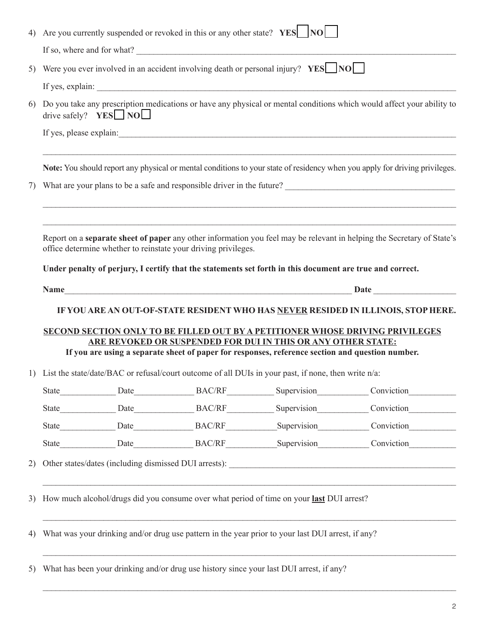|    |                        |                                                                | 4) Are you currently suspended or revoked in this or any other state? $YES$   $NO$                                                                               |                                                                                                                                                                                                                                        |
|----|------------------------|----------------------------------------------------------------|------------------------------------------------------------------------------------------------------------------------------------------------------------------|----------------------------------------------------------------------------------------------------------------------------------------------------------------------------------------------------------------------------------------|
|    |                        |                                                                | If so, where and for what?                                                                                                                                       |                                                                                                                                                                                                                                        |
| 5) |                        |                                                                | Were you ever involved in an accident involving death or personal injury? YES NO                                                                                 |                                                                                                                                                                                                                                        |
|    |                        |                                                                |                                                                                                                                                                  |                                                                                                                                                                                                                                        |
| 6) | drive safely? $YES$ NO |                                                                |                                                                                                                                                                  | Do you take any prescription medications or have any physical or mental conditions which would affect your ability to                                                                                                                  |
|    |                        |                                                                |                                                                                                                                                                  |                                                                                                                                                                                                                                        |
|    |                        |                                                                |                                                                                                                                                                  | Note: You should report any physical or mental conditions to your state of residency when you apply for driving privileges.                                                                                                            |
| 7) |                        |                                                                |                                                                                                                                                                  | What are your plans to be a safe and responsible driver in the future?<br><u>Letter and the subset of the subset of the subset of the subset of the subset of the subset of the subset of the subset of the subset of the subset o</u> |
|    |                        |                                                                |                                                                                                                                                                  |                                                                                                                                                                                                                                        |
|    |                        | office determine whether to reinstate your driving privileges. |                                                                                                                                                                  | Report on a <b>separate sheet of paper</b> any other information you feel may be relevant in helping the Secretary of State's                                                                                                          |
|    |                        |                                                                | Under penalty of perjury, I certify that the statements set forth in this document are true and correct.                                                         |                                                                                                                                                                                                                                        |
|    |                        |                                                                |                                                                                                                                                                  |                                                                                                                                                                                                                                        |
|    |                        |                                                                | ARE REVOKED OR SUSPENDED FOR DUI IN THIS OR ANY OTHER STATE:<br>If you are using a separate sheet of paper for responses, reference section and question number. | IF YOU ARE AN OUT-OF-STATE RESIDENT WHO HAS NEVER RESIDED IN ILLINOIS, STOP HERE.<br><b>SECOND SECTION ONLY TO BE FILLED OUT BY A PETITIONER WHOSE DRIVING PRIVILEGES</b>                                                              |
|    |                        |                                                                | 1) List the state/date/BAC or refusal/court outcome of all DUIs in your past, if none, then write n/a:                                                           |                                                                                                                                                                                                                                        |
|    |                        |                                                                |                                                                                                                                                                  |                                                                                                                                                                                                                                        |
|    |                        |                                                                |                                                                                                                                                                  |                                                                                                                                                                                                                                        |
|    |                        |                                                                |                                                                                                                                                                  |                                                                                                                                                                                                                                        |
|    |                        |                                                                |                                                                                                                                                                  |                                                                                                                                                                                                                                        |
|    |                        |                                                                |                                                                                                                                                                  |                                                                                                                                                                                                                                        |
| 2) |                        |                                                                |                                                                                                                                                                  |                                                                                                                                                                                                                                        |
| 3) |                        |                                                                | How much alcohol/drugs did you consume over what period of time on your last DUI arrest?                                                                         |                                                                                                                                                                                                                                        |
| 4) |                        |                                                                | What was your drinking and/or drug use pattern in the year prior to your last DUI arrest, if any?                                                                |                                                                                                                                                                                                                                        |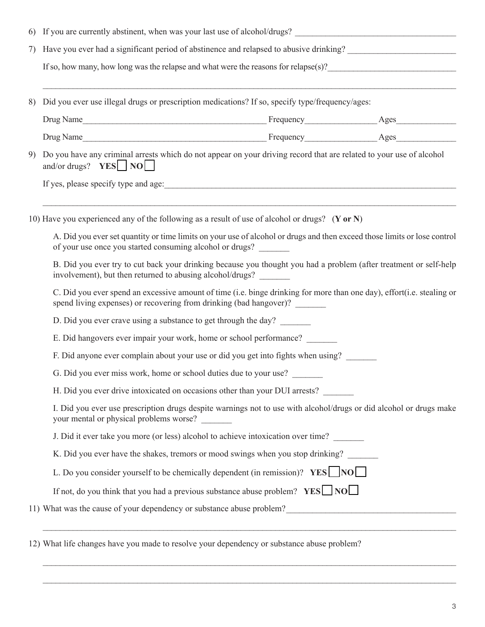| 6) |                                                                   | If you are currently abstinent, when was your last use of alcohol/drugs?                                                                                                                     |  |
|----|-------------------------------------------------------------------|----------------------------------------------------------------------------------------------------------------------------------------------------------------------------------------------|--|
| 7) |                                                                   | Have you ever had a significant period of abstinence and relapsed to abusive drinking?                                                                                                       |  |
|    |                                                                   | If so, how many, how long was the relapse and what were the reasons for relapse(s)?                                                                                                          |  |
| 8) |                                                                   | Did you ever use illegal drugs or prescription medications? If so, specify type/frequency/ages:                                                                                              |  |
|    |                                                                   |                                                                                                                                                                                              |  |
|    |                                                                   |                                                                                                                                                                                              |  |
| 9) | and/or drugs? $YES$ NO                                            | Do you have any criminal arrests which do not appear on your driving record that are related to your use of alcohol                                                                          |  |
|    |                                                                   | If yes, please specify type and age:                                                                                                                                                         |  |
|    |                                                                   |                                                                                                                                                                                              |  |
|    |                                                                   | 10) Have you experienced any of the following as a result of use of alcohol or drugs? (Y or N)                                                                                               |  |
|    | of your use once you started consuming alcohol or drugs?          | A. Did you ever set quantity or time limits on your use of alcohol or drugs and then exceed those limits or lose control                                                                     |  |
|    | involvement), but then returned to abusing alcohol/drugs?         | B. Did you ever try to cut back your drinking because you thought you had a problem (after treatment or self-help                                                                            |  |
|    |                                                                   | C. Did you ever spend an excessive amount of time (i.e. binge drinking for more than one day), effort(i.e. stealing or<br>spend living expenses) or recovering from drinking (bad hangover)? |  |
|    | D. Did you ever crave using a substance to get through the day?   |                                                                                                                                                                                              |  |
|    |                                                                   | E. Did hangovers ever impair your work, home or school performance?                                                                                                                          |  |
|    |                                                                   | F. Did anyone ever complain about your use or did you get into fights when using?                                                                                                            |  |
|    | G. Did you ever miss work, home or school duties due to your use? |                                                                                                                                                                                              |  |
|    |                                                                   | H. Did you ever drive intoxicated on occasions other than your DUI arrests?                                                                                                                  |  |
|    | your mental or physical problems worse? _______                   | I. Did you ever use prescription drugs despite warnings not to use with alcohol/drugs or did alcohol or drugs make                                                                           |  |
|    |                                                                   | J. Did it ever take you more (or less) alcohol to achieve intoxication over time?                                                                                                            |  |
|    |                                                                   | K. Did you ever have the shakes, tremors or mood swings when you stop drinking?                                                                                                              |  |
|    |                                                                   | L. Do you consider yourself to be chemically dependent (in remission)? $YES$ NO                                                                                                              |  |
|    |                                                                   | If not, do you think that you had a previous substance abuse problem? $YES$ NO                                                                                                               |  |
|    |                                                                   | 11) What was the cause of your dependency or substance abuse problem?                                                                                                                        |  |

 $\_$ 

 $\mathcal{L}_\mathcal{L} = \mathcal{L}_\mathcal{L} = \mathcal{L}_\mathcal{L} = \mathcal{L}_\mathcal{L} = \mathcal{L}_\mathcal{L} = \mathcal{L}_\mathcal{L} = \mathcal{L}_\mathcal{L} = \mathcal{L}_\mathcal{L} = \mathcal{L}_\mathcal{L} = \mathcal{L}_\mathcal{L} = \mathcal{L}_\mathcal{L} = \mathcal{L}_\mathcal{L} = \mathcal{L}_\mathcal{L} = \mathcal{L}_\mathcal{L} = \mathcal{L}_\mathcal{L} = \mathcal{L}_\mathcal{L} = \mathcal{L}_\mathcal{L}$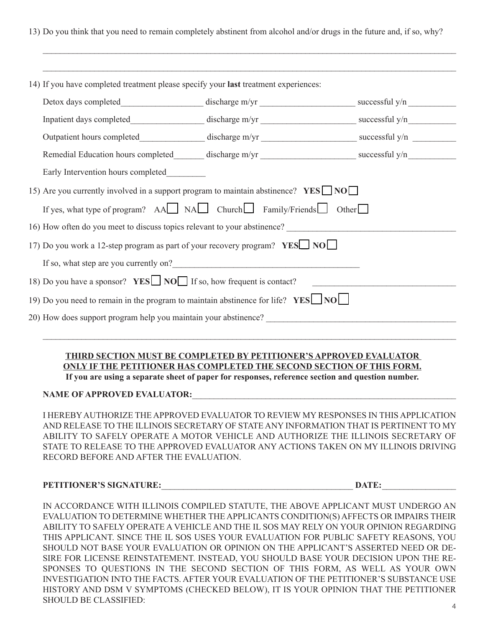13) Do you think that you need to remain completely abstinent from alcohol and/or drugs in the future and, if so, why?

 $\mathcal{L}_\mathcal{L} = \{ \mathcal{L}_\mathcal{L} = \{ \mathcal{L}_\mathcal{L} = \{ \mathcal{L}_\mathcal{L} = \{ \mathcal{L}_\mathcal{L} = \{ \mathcal{L}_\mathcal{L} = \{ \mathcal{L}_\mathcal{L} = \{ \mathcal{L}_\mathcal{L} = \{ \mathcal{L}_\mathcal{L} = \{ \mathcal{L}_\mathcal{L} = \{ \mathcal{L}_\mathcal{L} = \{ \mathcal{L}_\mathcal{L} = \{ \mathcal{L}_\mathcal{L} = \{ \mathcal{L}_\mathcal{L} = \{ \mathcal{L}_\mathcal{$ 

| Remedial Education hours completed discharge m/yr _______________________________ successful y/n |                                                                            |  |
|--------------------------------------------------------------------------------------------------|----------------------------------------------------------------------------|--|
| Early Intervention hours completed                                                               |                                                                            |  |
| 15) Are you currently involved in a support program to maintain abstinence? $YES$ NO             |                                                                            |  |
| If yes, what type of program? $AA$ NA Church Family/Friends Other                                |                                                                            |  |
| 16) How often do you meet to discuss topics relevant to your abstinence?                         |                                                                            |  |
|                                                                                                  | 17) Do you work a 12-step program as part of your recovery program? YES NO |  |
|                                                                                                  |                                                                            |  |
| If so, what step are you currently on?                                                           |                                                                            |  |
| 18) Do you have a sponsor? <b>YES</b> NO If so, how frequent is contact?                         |                                                                            |  |
| 19) Do you need to remain in the program to maintain abstinence for life? $YES$ NO $\Box$        |                                                                            |  |

### **THIRD SECTION MUST BE COMPLETED BY PETITIONER'S APPROVED EVALUATOR ONLY IF THE PETITIONER HAS COMPLETED THE SECOND SECTION OF THIS FORM.**

**If you are using a separate sheet of paper for responses, reference section and question number.**

#### NAME OF APPROVED EVALUATOR:

I HEREBY AUTHORIZE THE APPROVED EVALUATOR TO REVIEW MY RESPONSES IN THIS APPLICATION AND RELEASE TO THE ILLINOIS SECRETARY OF STATE ANY INFORMATION THAT IS PERTINENT TO MY ABILITY TO SAFELY OPERATE A MOTOR VEHICLE AND AUTHORIZE THE ILLINOIS SECRETARY OF STATE TO RELEASE TO THE APPROVED EVALUATOR ANY ACTIONS TAKEN ON MY ILLINOIS DRIVING RECORD BEFORE AND AFTER THE EVALUATION.

#### **PETITIONER'S SIGNATURE:**\_\_\_\_\_\_\_\_\_\_\_\_\_\_\_\_\_\_\_\_\_\_\_\_\_\_\_\_\_\_\_\_\_\_\_\_\_\_\_\_\_\_\_\_ **DATE:**\_\_\_\_\_\_\_\_\_\_\_\_\_\_\_\_\_

IN ACCORDANCE WITH ILLINOIS COMPILED STATUTE, THE ABOVE APPLICANT MUST UNDERGO AN EVALUATION TO DETERMINE WHETHER THE APPLICANTS CONDITION(S) AFFECTS OR IMPAIRS THEIR ABILITY TO SAFELY OPERATE A VEHICLE AND THE IL SOS MAY RELY ON YOUR OPINION REGARDING THIS APPLICANT. SINCE THE IL SOS USES YOUR EVALUATION FOR PUBLIC SAFETY REASONS, YOU SHOULD NOT BASE YOUR EVALUATION OR OPINION ON THE APPLICANT'S ASSERTED NEED OR DE-SIRE FOR LICENSE REINSTATEMENT. INSTEAD, YOU SHOULD BASE YOUR DECISION UPON THE RE-SPONSES TO QUESTIONS IN THE SECOND SECTION OF THIS FORM, AS WELL AS YOUR OWN INVESTIGATION INTO THE FACTS. AFTER YOUR EVALUATION OF THE PETITIONER'S SUBSTANCE USE HISTORY AND DSM V SYMPTOMS (CHECKED BELOW), IT IS YOUR OPINION THAT THE PETITIONER SHOULD BE CLASSIFIED: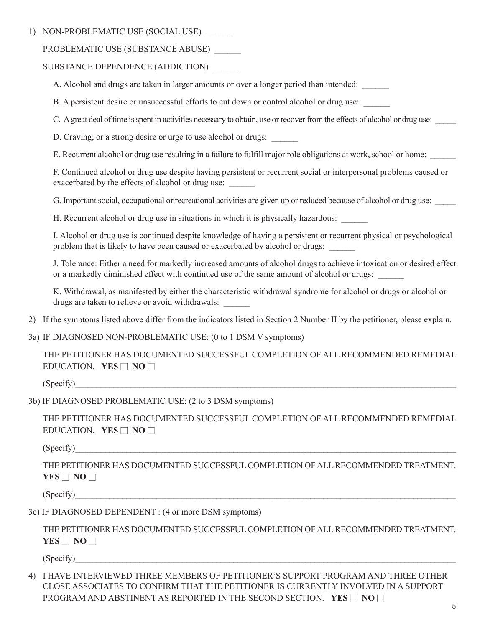1) NON-PROBLEMATIC USE (SOCIAL USE)

PROBLEMATIC USE (SUBSTANCE ABUSE) \_\_\_\_\_\_

SUBSTANCE DEPENDENCE (ADDICTION)

A. Alcohol and drugs are taken in larger amounts or over a longer period than intended:

B. A persistent desire or unsuccessful efforts to cut down or control alcohol or drug use:

C. A great deal of time is spent in activities necessary to obtain, use or recover from the effects of alcohol or drug use:

D. Craving, or a strong desire or urge to use alcohol or drugs:

E. Recurrent alcohol or drug use resulting in a failure to fulfill major role obligations at work, school or home:

F. Continued alcohol or drug use despite having persistent or recurrent social or interpersonal problems caused or exacerbated by the effects of alcohol or drug use:

G. Important social, occupational or recreational activities are given up or reduced because of alcohol or drug use:

H. Recurrent alcohol or drug use in situations in which it is physically hazardous:

I. Alcohol or drug use is continued despite knowledge of having a persistent or recurrent physical or psychological problem that is likely to have been caused or exacerbated by alcohol or drugs:

J. Tolerance: Either a need for markedly increased amounts of alcohol drugs to achieve intoxication or desired effect or a markedly diminished effect with continued use of the same amount of alcohol or drugs:

K. Withdrawal, as manifested by either the characteristic withdrawal syndrome for alcohol or drugs or alcohol or drugs are taken to relieve or avoid withdrawals:

2) If the symptoms listed above differ from the indicators listed in Section 2 Number II by the petitioner, please explain.

3a) IF DIAGNOSED NON-PROBLEMATIC USE: (0 to 1 DSM V symptoms)

 THE PETITIONER HAS DOCUMENTED SUCCESSFUL COMPLETION OF ALL RECOMMENDED REMEDIAL EDUCATION. **YES**  $\Box$  **NO**  $\Box$ 

 $(Specify)$ 

3b) IF DIAGNOSED PROBLEMATIC USE: (2 to 3 DSM symptoms)

THE PETITIONER HAS DOCUMENTED SUCCESSFUL COMPLETION OF ALL RECOMMENDED REMEDIAL EDUCATION. **YES**  $\Box$  **NO**  $\Box$ 

 $(Specify)$ 

 THE PETITIONER HAS DOCUMENTED SUCCESSFUL COMPLETION OF ALL RECOMMENDED TREATMENT. **YES**  $\Box$  **NO**  $\Box$ 

 $(Specify)$ 

3c) IF DIAGNOSED DEPENDENT : (4 or more DSM symptoms)

THE PETITIONER HAS DOCUMENTED SUCCESSFUL COMPLETION OF ALL RECOMMENDED TREATMENT. **YES**  $\Box$  **NO**  $\Box$ 

 $(Specify)$ 

4) I HAVE INTERVIEWED THREE MEMBERS OF PETITIONER'S SUPPORT PROGRAM AND THREE OTHER CLOSE ASSOCIATES TO CONFIRM THAT THE PETITIONER IS CURRENTLY INVOLVED IN A SUPPORT PROGRAM AND ABSTINENT AS REPORTED IN THE SECOND SECTION. **YES**  $\Box$  **NO**  $\Box$